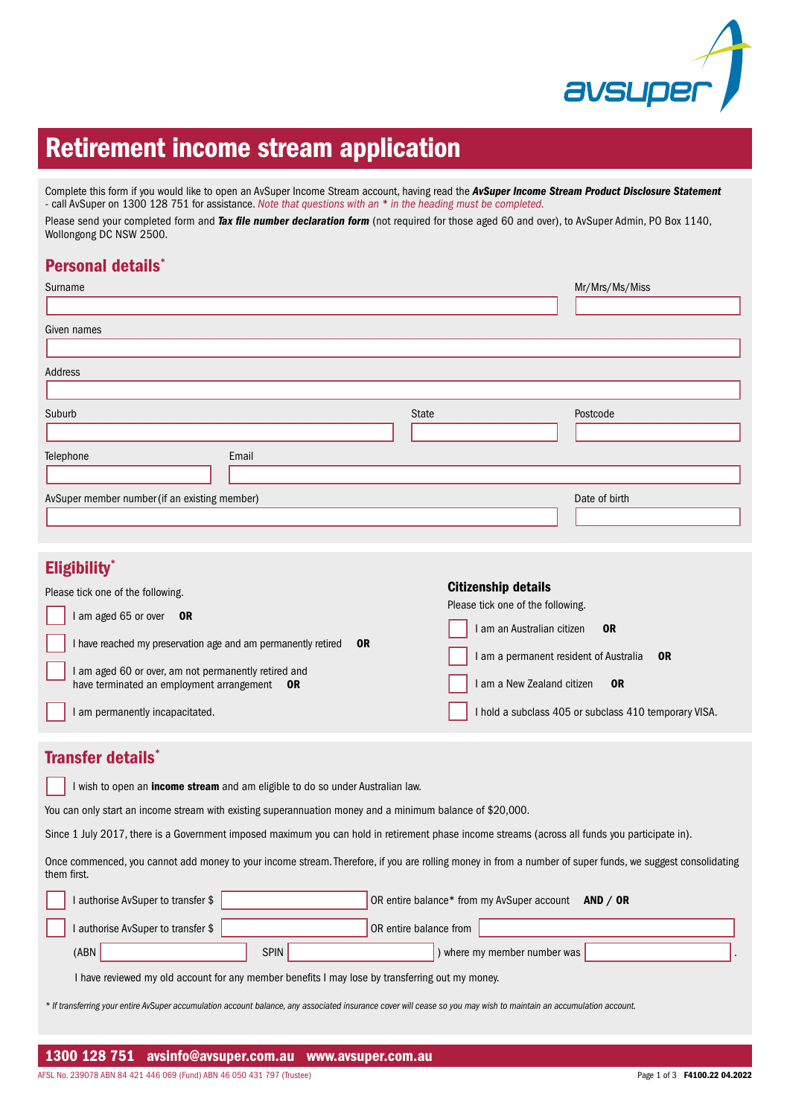

# Retirement income stream application

Complete this form if you would like to open an AvSuper Income Stream account, having read the *AvSuper Income Stream Product Disclosure Statement* - call AvSuper on 1300 128 751 for assistance. *Note that questions with an \* in the heading must be completed.* Please send your completed form and *Tax file number declaration form* (not required for those aged 60 and over), to AvSuper Admin, PO Box 1140, Wollongong DC NSW 2500.

## Personal details\*

| Surname                                       |       | Mr/Mrs/Ms/Miss |
|-----------------------------------------------|-------|----------------|
|                                               |       |                |
| Given names                                   |       |                |
|                                               |       |                |
| Address                                       |       |                |
|                                               |       |                |
| Suburb                                        | State | Postcode       |
|                                               |       |                |
| Telephone<br>Email                            |       |                |
|                                               |       |                |
| AvSuper member number (if an existing member) |       | Date of birth  |
|                                               |       |                |

# Eligibility\*

| ендіміну                                                      |    |                                                       |
|---------------------------------------------------------------|----|-------------------------------------------------------|
| Please tick one of the following.                             |    | <b>Citizenship details</b>                            |
| I am aged 65 or over<br><b>OR</b>                             |    | Please tick one of the following.                     |
| I have reached my preservation age and am permanently retired | 0R | I am an Australian citizen<br>0 <sub>R</sub>          |
| I am aged 60 or over, am not permanently retired and          |    | I am a permanent resident of Australia<br><b>OR</b>   |
| have terminated an employment arrangement OR                  |    | I am a New Zealand citizen<br><b>OR</b>               |
| I am permanently incapacitated.                               |    | I hold a subclass 405 or subclass 410 temporary VISA. |
|                                                               |    |                                                       |

## Transfer details\*

I wish to open an *income stream* and am eligible to do so under Australian law.

You can only start an income stream with existing superannuation money and a minimum balance of \$20,000.

Since 1 July 2017, there is a Government imposed maximum you can hold in retirement phase income streams (across all funds you participate in).

Once commenced, you cannot add money to your income stream. Therefore, if you are rolling money in from a number of super funds, we suggest consolidating them first.

| I authorise AvSuper to transfer \$                                                              |             | OR entire balance* from my AvSuper account<br>AND / $OR$ |  |
|-------------------------------------------------------------------------------------------------|-------------|----------------------------------------------------------|--|
| I authorise AvSuper to transfer \$                                                              |             | OR entire balance from                                   |  |
| (ABN)                                                                                           | <b>SPIN</b> | ) where my member number was                             |  |
| I have reviewed my old account for any member benefits I may lose by transferring out my money. |             |                                                          |  |

*\* If transferring your entire AvSuper accumulation account balance, any associated insurance cover will cease so you may wish to maintain an accumulation account.*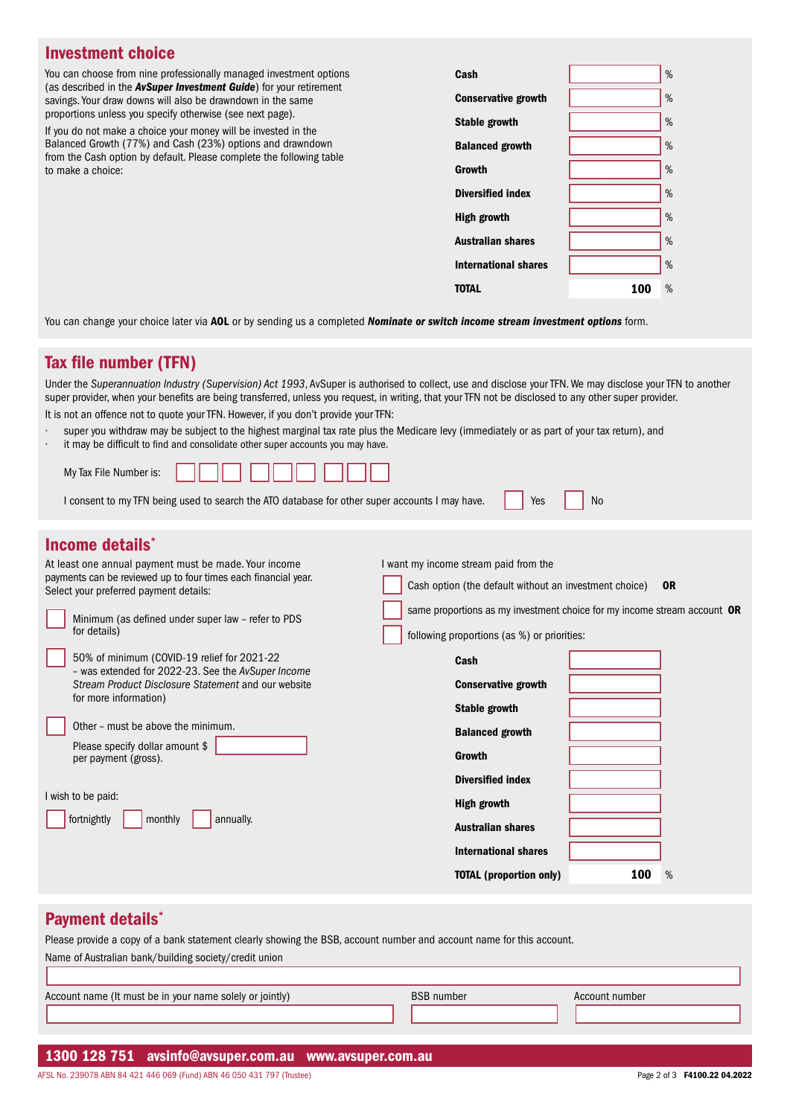| <b>Investment choice</b>                                                                                                                  |                             |     |      |
|-------------------------------------------------------------------------------------------------------------------------------------------|-----------------------------|-----|------|
| You can choose from nine professionally managed investment options                                                                        | Cash                        |     | $\%$ |
| (as described in the <b>AvSuper Investment Guide</b> ) for your retirement<br>savings. Your draw downs will also be drawndown in the same | <b>Conservative growth</b>  |     | %    |
| proportions unless you specify otherwise (see next page).<br>If you do not make a choice your money will be invested in the               | Stable growth               |     | $\%$ |
| Balanced Growth (77%) and Cash (23%) options and drawndown<br>from the Cash option by default. Please complete the following table        | <b>Balanced growth</b>      |     | %    |
| to make a choice:                                                                                                                         | Growth                      |     | $\%$ |
|                                                                                                                                           | <b>Diversified index</b>    |     | %    |
|                                                                                                                                           | High growth                 |     | %    |
|                                                                                                                                           | <b>Australian shares</b>    |     | %    |
|                                                                                                                                           | <b>International shares</b> |     | $\%$ |
|                                                                                                                                           | <b>TOTAL</b>                | 100 | %    |
|                                                                                                                                           |                             |     |      |

You can change your choice later via AOL or by sending us a completed *Nominate or switch income stream investment options* form.

## Tax file number (TFN)

Under the *Superannuation Industry (Supervision) Act 1993*, AvSuper is authorised to collect, use and disclose your TFN. We may disclose your TFN to another super provider, when your benefits are being transferred, unless you request, in writing, that your TFN not be disclosed to any other super provider. It is not an offence not to quote your TFN. However, if you don't provide your TFN:

- · super you withdraw may be subject to the highest marginal tax rate plus the Medicare levy (immediately or as part of your tax return), and
- it may be difficult to find and consolidate other super accounts you may have.

| I consent to my TFN being used to search the ATO database for other super accounts I may have. The Yes |  |  |
|--------------------------------------------------------------------------------------------------------|--|--|

## Income details\*

| At least one annual payment must be made. Your income                                                     | I want my income stream paid from the                                    |
|-----------------------------------------------------------------------------------------------------------|--------------------------------------------------------------------------|
| payments can be reviewed up to four times each financial year.<br>Select your preferred payment details:  | Cash option (the default without an investment choice)<br><b>OR</b>      |
| Minimum (as defined under super law - refer to PDS                                                        | same proportions as my investment choice for my income stream account OR |
| for details)                                                                                              | following proportions (as %) or priorities:                              |
| 50% of minimum (COVID-19 relief for 2021-22                                                               | Cash                                                                     |
| - was extended for 2022-23. See the AvSuper Income<br>Stream Product Disclosure Statement and our website | <b>Conservative growth</b>                                               |
| for more information)                                                                                     | Stable growth                                                            |
| Other - must be above the minimum.                                                                        | <b>Balanced growth</b>                                                   |
| Please specify dollar amount \$<br>per payment (gross).                                                   | Growth                                                                   |
|                                                                                                           | <b>Diversified index</b>                                                 |
| I wish to be paid:                                                                                        | <b>High growth</b>                                                       |
| fortnightly<br>monthly<br>annually.                                                                       | <b>Australian shares</b>                                                 |
|                                                                                                           | <b>International shares</b>                                              |
|                                                                                                           | <b>TOTAL</b> (proportion only)<br>100<br>%                               |
|                                                                                                           |                                                                          |

#### Payment details<sup>\*</sup>

Please provide a copy of a bank statement clearly showing the BSB, account number and account name for this account. Name of Australian bank/building society/credit union

| Account name (It must be in your name solely or jointly) | <b>BSB</b> number | Account number |  |
|----------------------------------------------------------|-------------------|----------------|--|
|                                                          |                   |                |  |